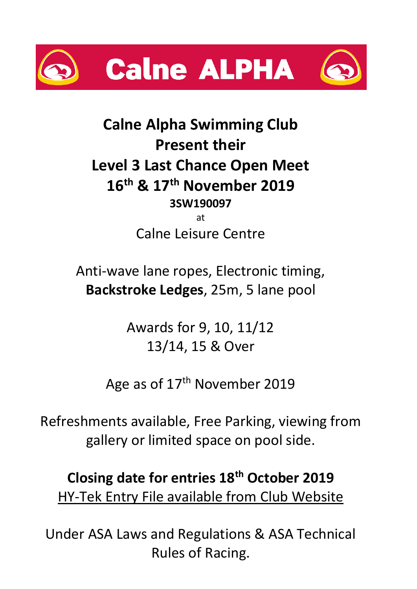



## **Calne Alpha Swimming Club Present their Level 3 Last Chance Open Meet 16th & 17th November 2019 3SW190097** at

Calne Leisure Centre

Anti-wave lane ropes, Electronic timing, **Backstroke Ledges**, 25m, 5 lane pool

> Awards for 9, 10, 11/12 13/14, 15 & Over

Age as of 17<sup>th</sup> November 2019

Refreshments available, Free Parking, viewing from gallery or limited space on pool side.

# **Closing date for entries 18 th October 2019** HY-Tek Entry File available from Club Website

Under ASA Laws and Regulations & ASA Technical Rules of Racing.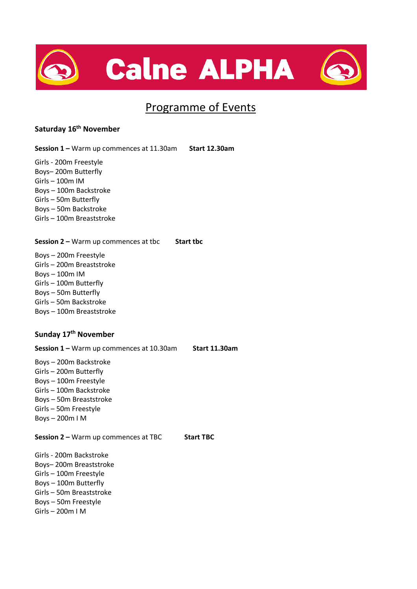



### Programme of Events

#### **Saturday 16th November**

**Session 1 –** Warm up commences at 11.30am **Start 12.30am**

Girls - 200m Freestyle Boys– 200m Butterfly Girls – 100m IM Boys – 100m Backstroke Girls – 50m Butterfly Boys – 50m Backstroke Girls – 100m Breaststroke

**Session 2 –** Warm up commences at tbc **Start tbc**

Boys – 200m Freestyle Girls – 200m Breaststroke Boys – 100m IM Girls – 100m Butterfly Boys – 50m Butterfly Girls – 50m Backstroke Boys – 100m Breaststroke

#### **Sunday 17th November**

**Session 1 –** Warm up commences at 10.30am **Start 11.30am**

Boys – 200m Backstroke Girls – 200m Butterfly Boys – 100m Freestyle Girls – 100m Backstroke Boys – 50m Breaststroke Girls – 50m Freestyle Boys – 200m I M

**Session 2 –** Warm up commences at TBC **Start TBC**

Girls - 200m Backstroke Boys– 200m Breaststroke Girls – 100m Freestyle Boys – 100m Butterfly Girls – 50m Breaststroke Boys – 50m Freestyle Girls – 200m I M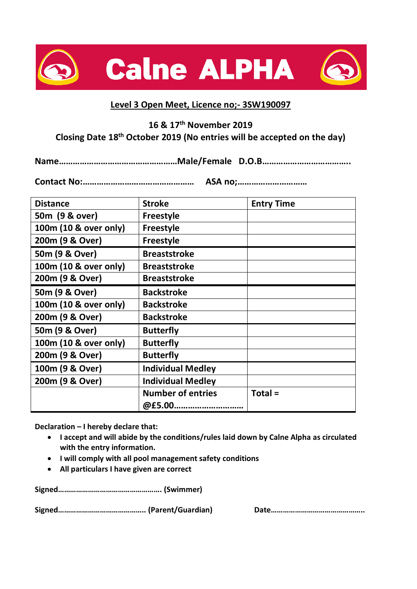



#### **Level 3 Open Meet, Licence no;- 3SW190097**

**16 & 17th November 2019**

#### **Closing Date 18 th October 2019 (No entries will be accepted on the day)**

**Name……………………………………………Male/Female D.O.B………………………………..**

**Contact No:………………………………………… ASA no;…………………………**

| <b>Distance</b>       | <b>Stroke</b>            | <b>Entry Time</b> |
|-----------------------|--------------------------|-------------------|
| 50m (9 & over)        | <b>Freestyle</b>         |                   |
| 100m (10 & over only) | <b>Freestyle</b>         |                   |
| 200m (9 & Over)       | <b>Freestyle</b>         |                   |
| 50m (9 & Over)        | <b>Breaststroke</b>      |                   |
| 100m (10 & over only) | <b>Breaststroke</b>      |                   |
| 200m (9 & Over)       | <b>Breaststroke</b>      |                   |
| 50m (9 & Over)        | <b>Backstroke</b>        |                   |
| 100m (10 & over only) | <b>Backstroke</b>        |                   |
| 200m (9 & Over)       | <b>Backstroke</b>        |                   |
| 50m (9 & Over)        | <b>Butterfly</b>         |                   |
| 100m (10 & over only) | <b>Butterfly</b>         |                   |
| 200m (9 & Over)       | <b>Butterfly</b>         |                   |
| 100m (9 & Over)       | <b>Individual Medley</b> |                   |
| 200m (9 & Over)       | <b>Individual Medley</b> |                   |
|                       | <b>Number of entries</b> | $Total =$         |
|                       | @£5.00                   |                   |

**Declaration – I hereby declare that:**

- **I accept and will abide by the conditions/rules laid down by Calne Alpha as circulated with the entry information.**
- **I will comply with all pool management safety conditions**
- **All particulars I have given are correct**

**Signed……………………………………………. (Swimmer)** 

**Signed…………………………………….. (Parent/Guardian) Date………………………………………..**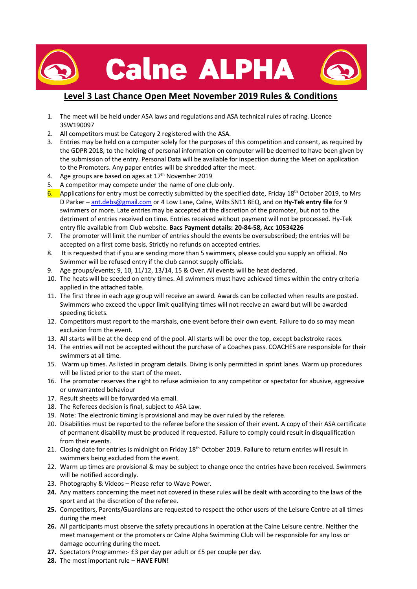

#### **Level 3 Last Chance Open Meet November 2019 Rules & Conditions**

- 1. The meet will be held under ASA laws and regulations and ASA technical rules of racing. Licence 3SW190097
- 2. All competitors must be Category 2 registered with the ASA.
- 3. Entries may be held on a computer solely for the purposes of this competition and consent, as required by the GDPR 2018, to the holding of personal information on computer will be deemed to have been given by the submission of the entry. Personal Data will be available for inspection during the Meet on application to the Promoters. Any paper entries will be shredded after the meet.
- 4. Age groups are based on ages at  $17<sup>th</sup>$  November 2019
- 5. A competitor may compete under the name of one club only.
- 6. Applications for entry must be correctly submitted by the specified date, Friday 18<sup>th</sup> October 2019, to Mrs D Parker – [ant.debs@gmail.com](mailto:ant.debs@gmail.com) or 4 Low Lane, Calne, Wilts SN11 8EQ, and on **Hy-Tek entry file** for 9 swimmers or more. Late entries may be accepted at the discretion of the promoter, but not to the detriment of entries received on time. Entries received without payment will not be processed. Hy-Tek entry file available from Club website. **Bacs Payment details: 20-84-58, Acc 10534226**
- 7. The promoter will limit the number of entries should the events be oversubscribed; the entries will be accepted on a first come basis. Strictly no refunds on accepted entries.
- 8. It is requested that if you are sending more than 5 swimmers, please could you supply an official. No Swimmer will be refused entry if the club cannot supply officials.
- 9. Age groups/events; 9, 10, 11/12, 13/14, 15 & Over. All events will be heat declared.
- 10. The heats will be seeded on entry times. All swimmers must have achieved times within the entry criteria applied in the attached table.
- 11. The first three in each age group will receive an award. Awards can be collected when results are posted. Swimmers who exceed the upper limit qualifying times will not receive an award but will be awarded speeding tickets.
- 12. Competitors must report to the marshals, one event before their own event. Failure to do so may mean exclusion from the event.
- 13. All starts will be at the deep end of the pool. All starts will be over the top, except backstroke races.
- 14. The entries will not be accepted without the purchase of a Coaches pass. COACHES are responsible for their swimmers at all time.
- 15. Warm up times. As listed in program details. Diving is only permitted in sprint lanes. Warm up procedures will be listed prior to the start of the meet.
- 16. The promoter reserves the right to refuse admission to any competitor or spectator for abusive, aggressive or unwarranted behaviour
- 17. Result sheets will be forwarded via email.
- 18. The Referees decision is final, subject to ASA Law.
- 19. Note: The electronic timing is provisional and may be over ruled by the referee.
- 20. Disabilities must be reported to the referee before the session of their event. A copy of their ASA certificate of permanent disability must be produced if requested. Failure to comply could result in disqualification from their events.
- 21. Closing date for entries is midnight on Friday 18<sup>th</sup> October 2019. Failure to return entries will result in swimmers being excluded from the event.
- 22. Warm up times are provisional & may be subject to change once the entries have been received. Swimmers will be notified accordingly.
- 23. Photography & Videos Please refer to Wave Power.
- **24.** Any matters concerning the meet not covered in these rules will be dealt with according to the laws of the sport and at the discretion of the referee.
- **25.** Competitors, Parents/Guardians are requested to respect the other users of the Leisure Centre at all times during the meet
- **26.** All participants must observe the safety precautions in operation at the Calne Leisure centre. Neither the meet management or the promoters or Calne Alpha Swimming Club will be responsible for any loss or damage occurring during the meet.
- **27.** Spectators Programme:- £3 per day per adult or £5 per couple per day.
- **28.** The most important rule **HAVE FUN!**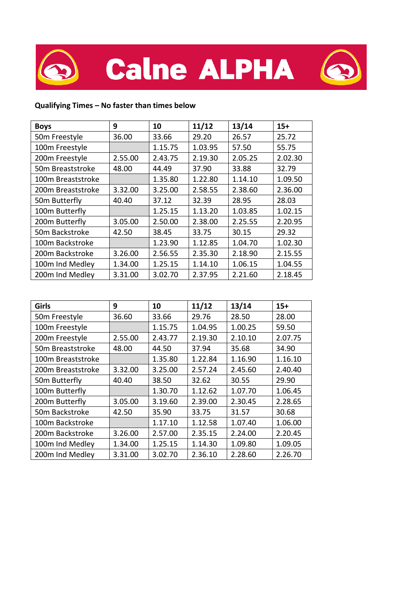

#### **Qualifying Times – No faster than times below**

| <b>Boys</b>       | 9       | 10      | 11/12   | 13/14   | $15+$   |
|-------------------|---------|---------|---------|---------|---------|
| 50m Freestyle     | 36.00   | 33.66   | 29.20   | 26.57   | 25.72   |
| 100m Freestyle    |         | 1.15.75 | 1.03.95 | 57.50   | 55.75   |
| 200m Freestyle    | 2.55.00 | 2.43.75 | 2.19.30 | 2.05.25 | 2.02.30 |
| 50m Breaststroke  | 48.00   | 44.49   | 37.90   | 33.88   | 32.79   |
| 100m Breaststroke |         | 1.35.80 | 1.22.80 | 1.14.10 | 1.09.50 |
| 200m Breaststroke | 3.32.00 | 3.25.00 | 2.58.55 | 2.38.60 | 2.36.00 |
| 50m Butterfly     | 40.40   | 37.12   | 32.39   | 28.95   | 28.03   |
| 100m Butterfly    |         | 1.25.15 | 1.13.20 | 1.03.85 | 1.02.15 |
| 200m Butterfly    | 3.05.00 | 2.50.00 | 2.38.00 | 2.25.55 | 2.20.95 |
| 50m Backstroke    | 42.50   | 38.45   | 33.75   | 30.15   | 29.32   |
| 100m Backstroke   |         | 1.23.90 | 1.12.85 | 1.04.70 | 1.02.30 |
| 200m Backstroke   | 3.26.00 | 2.56.55 | 2.35.30 | 2.18.90 | 2.15.55 |
| 100m Ind Medley   | 1.34.00 | 1.25.15 | 1.14.10 | 1.06.15 | 1.04.55 |
| 200m Ind Medley   | 3.31.00 | 3.02.70 | 2.37.95 | 2.21.60 | 2.18.45 |

| Girls             | 9       | 10      | 11/12   | 13/14   | $15+$   |
|-------------------|---------|---------|---------|---------|---------|
| 50m Freestyle     | 36.60   | 33.66   | 29.76   | 28.50   | 28.00   |
| 100m Freestyle    |         | 1.15.75 | 1.04.95 | 1.00.25 | 59.50   |
| 200m Freestyle    | 2.55.00 | 2.43.77 | 2.19.30 | 2.10.10 | 2.07.75 |
| 50m Breaststroke  | 48.00   | 44.50   | 37.94   | 35.68   | 34.90   |
| 100m Breaststroke |         | 1.35.80 | 1.22.84 | 1.16.90 | 1.16.10 |
| 200m Breaststroke | 3.32.00 | 3.25.00 | 2.57.24 | 2.45.60 | 2.40.40 |
| 50m Butterfly     | 40.40   | 38.50   | 32.62   | 30.55   | 29.90   |
| 100m Butterfly    |         | 1.30.70 | 1.12.62 | 1.07.70 | 1.06.45 |
| 200m Butterfly    | 3.05.00 | 3.19.60 | 2.39.00 | 2.30.45 | 2.28.65 |
| 50m Backstroke    | 42.50   | 35.90   | 33.75   | 31.57   | 30.68   |
| 100m Backstroke   |         | 1.17.10 | 1.12.58 | 1.07.40 | 1.06.00 |
| 200m Backstroke   | 3.26.00 | 2.57.00 | 2.35.15 | 2.24.00 | 2.20.45 |
| 100m Ind Medley   | 1.34.00 | 1.25.15 | 1.14.30 | 1.09.80 | 1.09.05 |
| 200m Ind Medley   | 3.31.00 | 3.02.70 | 2.36.10 | 2.28.60 | 2.26.70 |